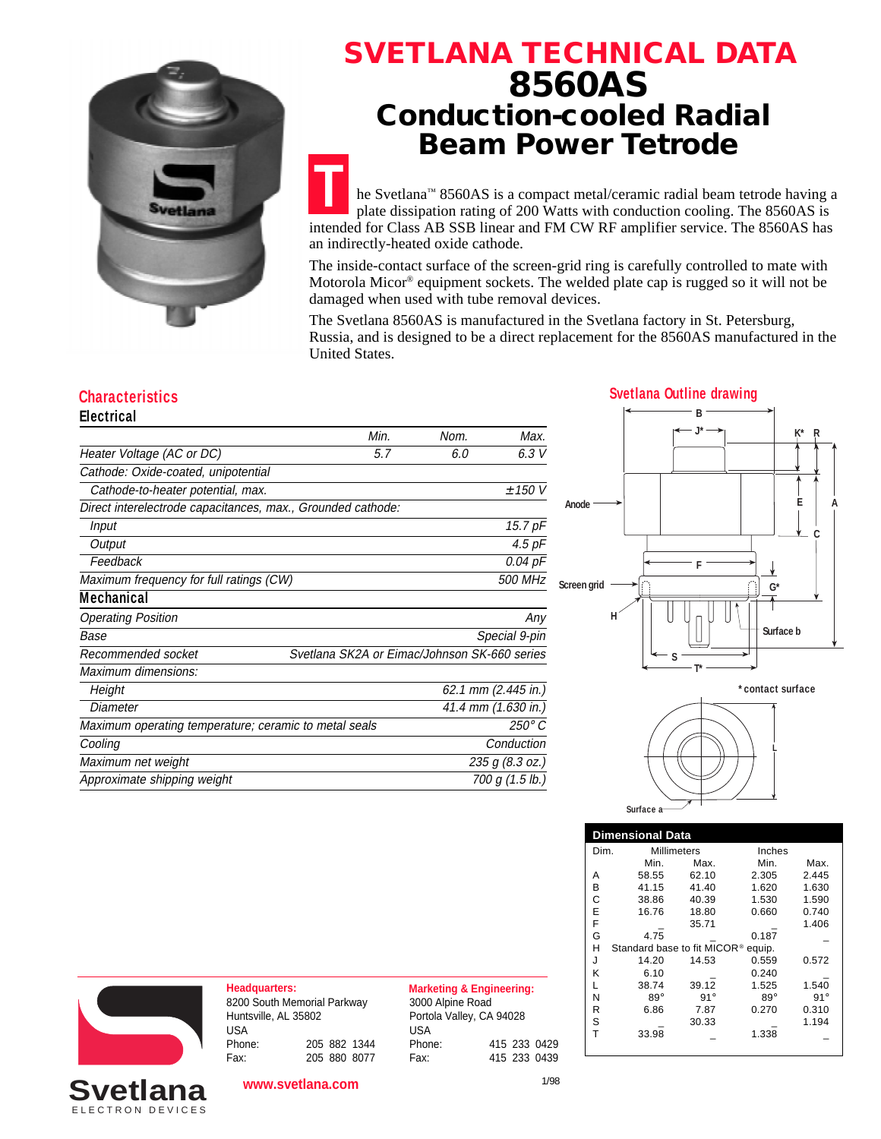

# **SVETLANA TECHNICAL DATA 8560AS Conduction-cooled Radial Beam Power Tetrode**

**T** he Svetlana™ 8560AS is a compact metal/ceramic radial beam tetrode having a plate dissipation rating of 200 Watts with conduction cooling. The 8560AS is intended for Class AB SSB linear and FM CW RF amplifier service. The 8560AS has an indirectly-heated oxide cathode.

The inside-contact surface of the screen-grid ring is carefully controlled to mate with Motorola Micor® equipment sockets. The welded plate cap is rugged so it will not be damaged when used with tube removal devices.

The Svetlana 8560AS is manufactured in the Svetlana factory in St. Petersburg, Russia, and is designed to be a direct replacement for the 8560AS manufactured in the United States.

## **Electrical**

| LICULIUAI                                                   |      |                                              |                     |  |
|-------------------------------------------------------------|------|----------------------------------------------|---------------------|--|
|                                                             | Min. | Nom.                                         | Max.                |  |
| Heater Voltage (AC or DC)                                   | 5.7  | 6.0                                          | 6.3 V               |  |
| Cathode: Oxide-coated, unipotential                         |      |                                              |                     |  |
| Cathode-to-heater potential, max.                           |      |                                              | ± 150 V             |  |
| Direct interelectrode capacitances, max., Grounded cathode: |      |                                              |                     |  |
| Input                                                       |      |                                              | 15.7 pF             |  |
| Output                                                      |      |                                              | $4.5$ $pF$          |  |
| Feedback                                                    |      |                                              | 0.04 pF             |  |
| Maximum frequency for full ratings (CW)                     |      |                                              | 500 MHz             |  |
| <b>Mechanical</b>                                           |      |                                              |                     |  |
| <b>Operating Position</b>                                   |      |                                              | Any                 |  |
| Base                                                        |      |                                              | Special 9-pin       |  |
| Recommended socket                                          |      | Svetlana SK2A or Eimac/Johnson SK-660 series |                     |  |
| Maximum dimensions:                                         |      |                                              |                     |  |
| Height                                                      |      |                                              | 62.1 mm (2.445 in.) |  |
| Diameter                                                    |      |                                              | 41.4 mm (1.630 in.) |  |
| Maximum operating temperature; ceramic to metal seals       |      |                                              | 250° C              |  |
| Cooling                                                     |      |                                              | Conduction          |  |
| Maximum net weight                                          |      |                                              | 235 g (8.3 oz.)     |  |
| Approximate shipping weight                                 |      |                                              | 700 g (1.5 lb.)     |  |
|                                                             |      |                                              |                     |  |







| <b>Dimensional Data</b>                                |                            |            |            |            |  |  |  |
|--------------------------------------------------------|----------------------------|------------|------------|------------|--|--|--|
|                                                        | <b>Millimeters</b><br>Dim. |            | Inches     |            |  |  |  |
|                                                        | Min.                       | Max.       | Min.       | Max.       |  |  |  |
| А                                                      | 58.55                      | 62.10      | 2.305      | 2.445      |  |  |  |
| В                                                      | 41.15                      | 41.40      | 1.620      | 1.630      |  |  |  |
| С                                                      | 38.86                      | 40.39      | 1.530      | 1.590      |  |  |  |
| E                                                      | 16.76                      | 18.80      | 0.660      | 0.740      |  |  |  |
| F                                                      |                            | 35.71      |            | 1.406      |  |  |  |
| G                                                      | 4.75                       |            | 0.187      |            |  |  |  |
| н<br>Standard base to fit MICOR <sup>®</sup><br>equip. |                            |            |            |            |  |  |  |
| J                                                      | 14.20                      | 14.53      | 0.559      | 0.572      |  |  |  |
| κ                                                      | 6.10                       |            | 0.240      |            |  |  |  |
| L                                                      | 38.74                      | 39.12      | 1.525      | 1.540      |  |  |  |
| Ν                                                      | $89^\circ$                 | $91^\circ$ | $89^\circ$ | $91^\circ$ |  |  |  |
| R                                                      | 6.86                       | 7.87       | 0.270      | 0.310      |  |  |  |
| S                                                      |                            | 30.33      |            | 1.194      |  |  |  |
| т                                                      | 33.98                      |            | 1.338      |            |  |  |  |



**Headquarters: Marketing & Engineering:** 8200 South Memorial Parkway Huntsville, AL 35802 USA Phone: 205 882 1344 Fax: 205 880 8077

3000 Alpine Road Portola Valley, CA 94028 USA Phone: 415 233 0429 Fax: 415 233 0439

**Svetlana** 

**www.svetlana.com**

1/98